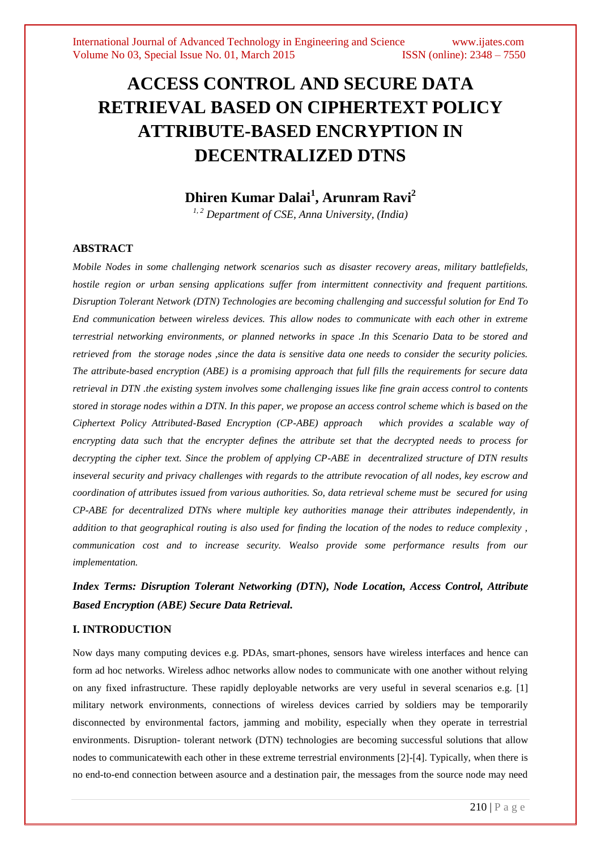# **ACCESS CONTROL AND SECURE DATA RETRIEVAL BASED ON CIPHERTEXT POLICY ATTRIBUTE-BASED ENCRYPTION IN DECENTRALIZED DTNS**

# **Dhiren Kumar Dalai<sup>1</sup> , Arunram Ravi<sup>2</sup>**

*1, 2 Department of CSE, Anna University, (India)*

# **ABSTRACT**

*Mobile Nodes in some challenging network scenarios such as disaster recovery areas, military battlefields, hostile region or urban sensing applications suffer from intermittent connectivity and frequent partitions. Disruption Tolerant Network (DTN) Technologies are becoming challenging and successful solution for End To End communication between wireless devices. This allow nodes to communicate with each other in extreme terrestrial networking environments, or planned networks in space .In this Scenario Data to be stored and retrieved from the storage nodes ,since the data is sensitive data one needs to consider the security policies. The attribute-based encryption (ABE) is a promising approach that full fills the requirements for secure data retrieval in DTN .the existing system involves some challenging issues like fine grain access control to contents stored in storage nodes within a DTN. In this paper, we propose an access control scheme which is based on the Ciphertext Policy Attributed-Based Encryption (CP-ABE) approach which provides a scalable way of encrypting data such that the encrypter defines the attribute set that the decrypted needs to process for decrypting the cipher text. Since the problem of applying CP-ABE in decentralized structure of DTN results inseveral security and privacy challenges with regards to the attribute revocation of all nodes, key escrow and coordination of attributes issued from various authorities. So, data retrieval scheme must be secured for using CP-ABE for decentralized DTNs where multiple key authorities manage their attributes independently, in addition to that geographical routing is also used for finding the location of the nodes to reduce complexity , communication cost and to increase security. Wealso provide some performance results from our implementation.*

*Index Terms: Disruption Tolerant Networking (DTN), Node Location, Access Control, Attribute Based Encryption (ABE) Secure Data Retrieval.*

# **I. INTRODUCTION**

Now days many computing devices e.g. PDAs, smart-phones, sensors have wireless interfaces and hence can form ad hoc networks. Wireless adhoc networks allow nodes to communicate with one another without relying on any fixed infrastructure. These rapidly deployable networks are very useful in several scenarios e.g. [1] military network environments, connections of wireless devices carried by soldiers may be temporarily disconnected by environmental factors, jamming and mobility, especially when they operate in terrestrial environments. Disruption- tolerant network (DTN) technologies are becoming successful solutions that allow nodes to communicatewith each other in these extreme terrestrial environments [2]-[4]. Typically, when there is no end-to-end connection between asource and a destination pair, the messages from the source node may need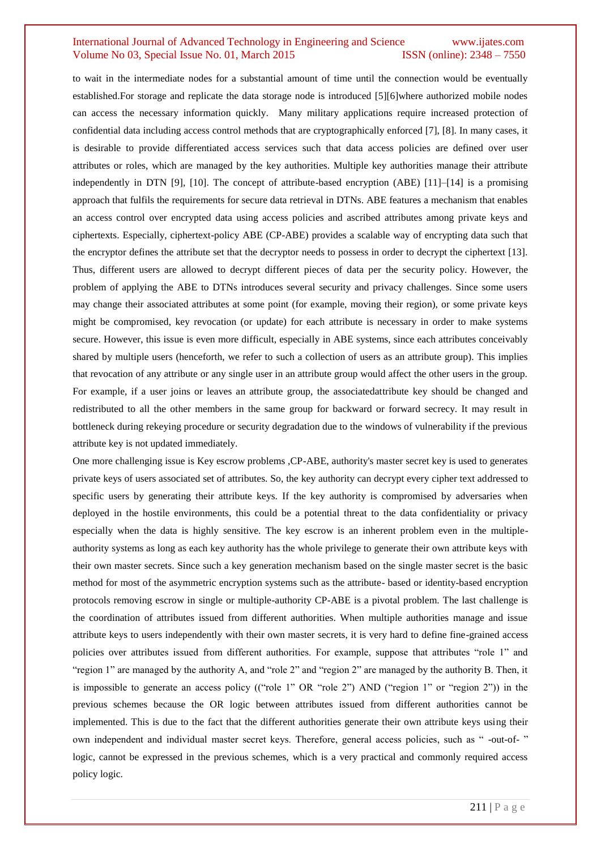to wait in the intermediate nodes for a substantial amount of time until the connection would be eventually established.For storage and replicate the data storage node is introduced [5][6]where authorized mobile nodes can access the necessary information quickly. Many military applications require increased protection of confidential data including access control methods that are cryptographically enforced [7], [8]. In many cases, it is desirable to provide differentiated access services such that data access policies are defined over user attributes or roles, which are managed by the key authorities. Multiple key authorities manage their attribute independently in DTN [9], [10]. The concept of attribute-based encryption (ABE) [11]–[14] is a promising approach that fulfils the requirements for secure data retrieval in DTNs. ABE features a mechanism that enables an access control over encrypted data using access policies and ascribed attributes among private keys and ciphertexts. Especially, ciphertext-policy ABE (CP-ABE) provides a scalable way of encrypting data such that the encryptor defines the attribute set that the decryptor needs to possess in order to decrypt the ciphertext [13]. Thus, different users are allowed to decrypt different pieces of data per the security policy. However, the problem of applying the ABE to DTNs introduces several security and privacy challenges. Since some users may change their associated attributes at some point (for example, moving their region), or some private keys might be compromised, key revocation (or update) for each attribute is necessary in order to make systems secure. However, this issue is even more difficult, especially in ABE systems, since each attributes conceivably shared by multiple users (henceforth, we refer to such a collection of users as an attribute group). This implies that revocation of any attribute or any single user in an attribute group would affect the other users in the group. For example, if a user joins or leaves an attribute group, the associatedattribute key should be changed and redistributed to all the other members in the same group for backward or forward secrecy. It may result in bottleneck during rekeying procedure or security degradation due to the windows of vulnerability if the previous attribute key is not updated immediately.

One more challenging issue is Key escrow problems ,CP-ABE, authority's master secret key is used to generates private keys of users associated set of attributes. So, the key authority can decrypt every cipher text addressed to specific users by generating their attribute keys. If the key authority is compromised by adversaries when deployed in the hostile environments, this could be a potential threat to the data confidentiality or privacy especially when the data is highly sensitive. The key escrow is an inherent problem even in the multipleauthority systems as long as each key authority has the whole privilege to generate their own attribute keys with their own master secrets. Since such a key generation mechanism based on the single master secret is the basic method for most of the asymmetric encryption systems such as the attribute- based or identity-based encryption protocols removing escrow in single or multiple-authority CP-ABE is a pivotal problem. The last challenge is the coordination of attributes issued from different authorities. When multiple authorities manage and issue attribute keys to users independently with their own master secrets, it is very hard to define fine-grained access policies over attributes issued from different authorities. For example, suppose that attributes "role 1" and "region 1" are managed by the authority A, and "role 2" and "region 2" are managed by the authority B. Then, it is impossible to generate an access policy (("role 1" OR "role 2") AND ("region 1" or "region 2")) in the previous schemes because the OR logic between attributes issued from different authorities cannot be implemented. This is due to the fact that the different authorities generate their own attribute keys using their own independent and individual master secret keys. Therefore, general access policies, such as " -out-of- " logic, cannot be expressed in the previous schemes, which is a very practical and commonly required access policy logic.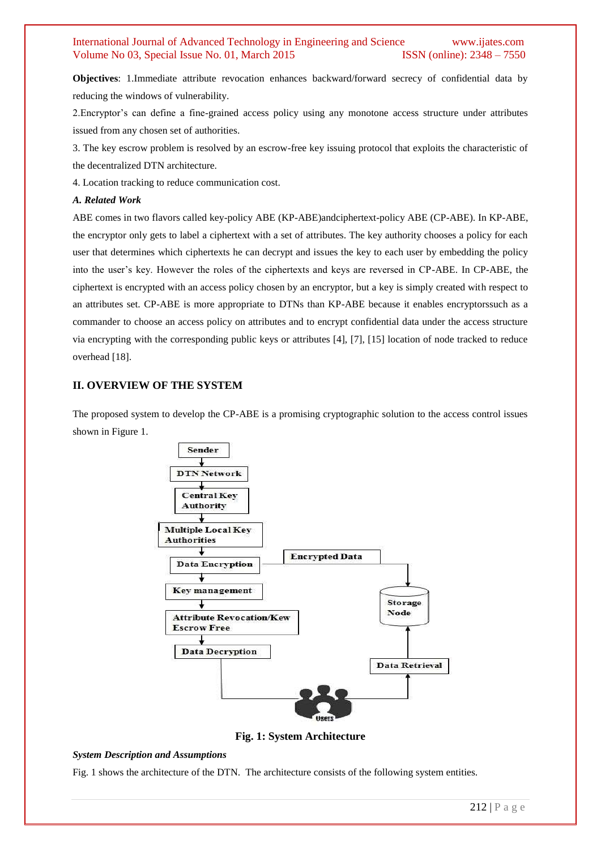**Objectives**: 1.Immediate attribute revocation enhances backward/forward secrecy of confidential data by reducing the windows of vulnerability.

2.Encryptor's can define a fine-grained access policy using any monotone access structure under attributes issued from any chosen set of authorities.

3. The key escrow problem is resolved by an escrow-free key issuing protocol that exploits the characteristic of the decentralized DTN architecture.

4. Location tracking to reduce communication cost.

#### *A. Related Work*

ABE comes in two flavors called key-policy ABE (KP-ABE)andciphertext-policy ABE (CP-ABE). In KP-ABE, the encryptor only gets to label a ciphertext with a set of attributes. The key authority chooses a policy for each user that determines which ciphertexts he can decrypt and issues the key to each user by embedding the policy into the user's key. However the roles of the ciphertexts and keys are reversed in CP-ABE. In CP-ABE, the ciphertext is encrypted with an access policy chosen by an encryptor, but a key is simply created with respect to an attributes set. CP-ABE is more appropriate to DTNs than KP-ABE because it enables encryptorssuch as a commander to choose an access policy on attributes and to encrypt confidential data under the access structure via encrypting with the corresponding public keys or attributes [4], [7], [15] location of node tracked to reduce overhead [18].

#### **II. OVERVIEW OF THE SYSTEM**

The proposed system to develop the CP-ABE is a promising cryptographic solution to the access control issues shown in Figure 1.



**Fig. 1: System Architecture**

#### *System Description and Assumptions*

Fig. 1 shows the architecture of the DTN. The architecture consists of the following system entities.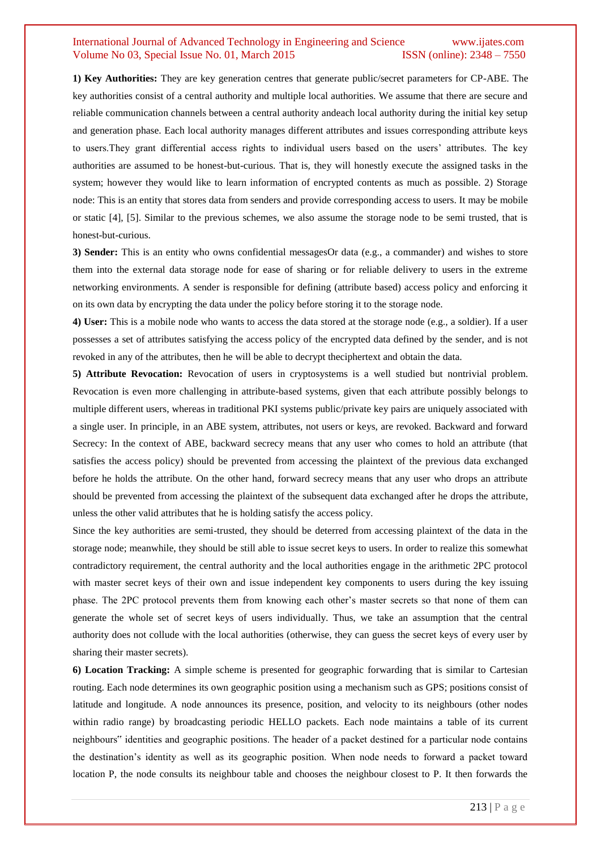**1) Key Authorities:** They are key generation centres that generate public/secret parameters for CP-ABE. The key authorities consist of a central authority and multiple local authorities. We assume that there are secure and reliable communication channels between a central authority andeach local authority during the initial key setup and generation phase. Each local authority manages different attributes and issues corresponding attribute keys to users.They grant differential access rights to individual users based on the users' attributes. The key authorities are assumed to be honest-but-curious. That is, they will honestly execute the assigned tasks in the system; however they would like to learn information of encrypted contents as much as possible. 2) Storage node: This is an entity that stores data from senders and provide corresponding access to users. It may be mobile or static [4], [5]. Similar to the previous schemes, we also assume the storage node to be semi trusted, that is honest-but-curious.

**3) Sender:** This is an entity who owns confidential messagesOr data (e.g., a commander) and wishes to store them into the external data storage node for ease of sharing or for reliable delivery to users in the extreme networking environments. A sender is responsible for defining (attribute based) access policy and enforcing it on its own data by encrypting the data under the policy before storing it to the storage node.

**4) User:** This is a mobile node who wants to access the data stored at the storage node (e.g., a soldier). If a user possesses a set of attributes satisfying the access policy of the encrypted data defined by the sender, and is not revoked in any of the attributes, then he will be able to decrypt theciphertext and obtain the data.

**5) Attribute Revocation:** Revocation of users in cryptosystems is a well studied but nontrivial problem. Revocation is even more challenging in attribute-based systems, given that each attribute possibly belongs to multiple different users, whereas in traditional PKI systems public/private key pairs are uniquely associated with a single user. In principle, in an ABE system, attributes, not users or keys, are revoked. Backward and forward Secrecy: In the context of ABE, backward secrecy means that any user who comes to hold an attribute (that satisfies the access policy) should be prevented from accessing the plaintext of the previous data exchanged before he holds the attribute. On the other hand, forward secrecy means that any user who drops an attribute should be prevented from accessing the plaintext of the subsequent data exchanged after he drops the attribute, unless the other valid attributes that he is holding satisfy the access policy.

Since the key authorities are semi-trusted, they should be deterred from accessing plaintext of the data in the storage node; meanwhile, they should be still able to issue secret keys to users. In order to realize this somewhat contradictory requirement, the central authority and the local authorities engage in the arithmetic 2PC protocol with master secret keys of their own and issue independent key components to users during the key issuing phase. The 2PC protocol prevents them from knowing each other's master secrets so that none of them can generate the whole set of secret keys of users individually. Thus, we take an assumption that the central authority does not collude with the local authorities (otherwise, they can guess the secret keys of every user by sharing their master secrets).

**6) Location Tracking:** A simple scheme is presented for geographic forwarding that is similar to Cartesian routing. Each node determines its own geographic position using a mechanism such as GPS; positions consist of latitude and longitude. A node announces its presence, position, and velocity to its neighbours (other nodes within radio range) by broadcasting periodic HELLO packets. Each node maintains a table of its current neighbours" identities and geographic positions. The header of a packet destined for a particular node contains the destination's identity as well as its geographic position. When node needs to forward a packet toward location P, the node consults its neighbour table and chooses the neighbour closest to P. It then forwards the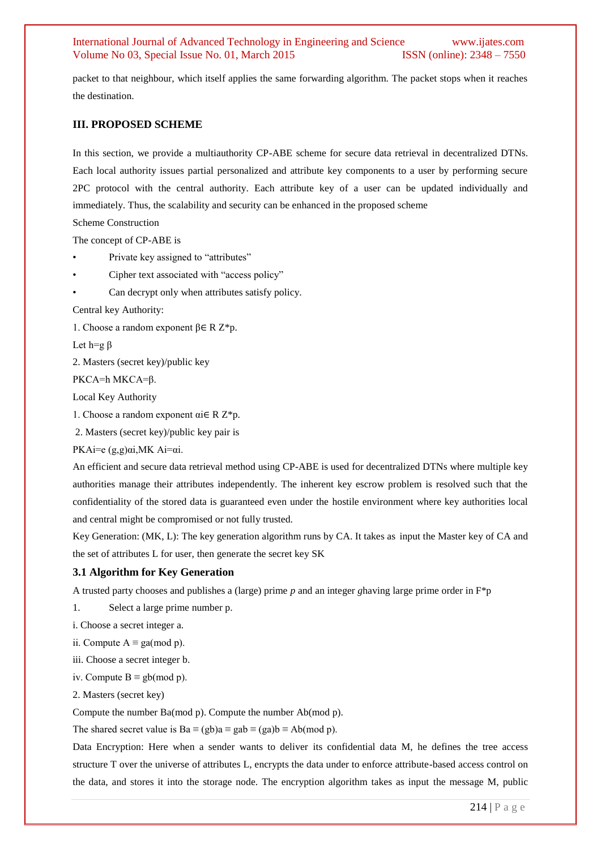packet to that neighbour, which itself applies the same forwarding algorithm. The packet stops when it reaches the destination.

#### **III. PROPOSED SCHEME**

In this section, we provide a multiauthority CP-ABE scheme for secure data retrieval in decentralized DTNs. Each local authority issues partial personalized and attribute key components to a user by performing secure 2PC protocol with the central authority. Each attribute key of a user can be updated individually and immediately. Thus, the scalability and security can be enhanced in the proposed scheme

```
Scheme Construction
```
The concept of CP-ABE is

- Private key assigned to "attributes"
- Cipher text associated with "access policy"
- Can decrypt only when attributes satisfy policy.

Central key Authority:

1. Choose a random exponent β∈ R Z\*p.

Let h=g  $β$ 

2. Masters (secret key)/public key

PKCA=h MKCA=β.

Local Key Authority

1. Choose a random exponent αi∈ R Z\*p.

2. Masters (secret key)/public key pair is

PKAi=e (g,g)αi,MK Ai=αi.

An efficient and secure data retrieval method using CP-ABE is used for decentralized DTNs where multiple key authorities manage their attributes independently. The inherent key escrow problem is resolved such that the confidentiality of the stored data is guaranteed even under the hostile environment where key authorities local and central might be compromised or not fully trusted.

Key Generation: (MK, L): The key generation algorithm runs by CA. It takes as input the Master key of CA and the set of attributes L for user, then generate the secret key SK

#### **3.1 Algorithm for Key Generation**

A trusted party chooses and publishes a (large) prime *p* and an integer *g*having large prime order in F\*p

1. Select a large prime number p.

i. Choose a secret integer a.

ii. Compute  $A ≡ ga(mod p)$ .

iii. Choose a secret integer b.

iv. Compute  $B \equiv gb \pmod{p}$ .

2. Masters (secret key)

Compute the number Ba(mod p). Compute the number Ab(mod p).

The shared secret value is  $Ba \equiv (gb)a \equiv gab \equiv (ga)b \equiv Ab (mod p)$ .

Data Encryption: Here when a sender wants to deliver its confidential data M, he defines the tree access structure T over the universe of attributes L, encrypts the data under to enforce attribute-based access control on the data, and stores it into the storage node. The encryption algorithm takes as input the message M, public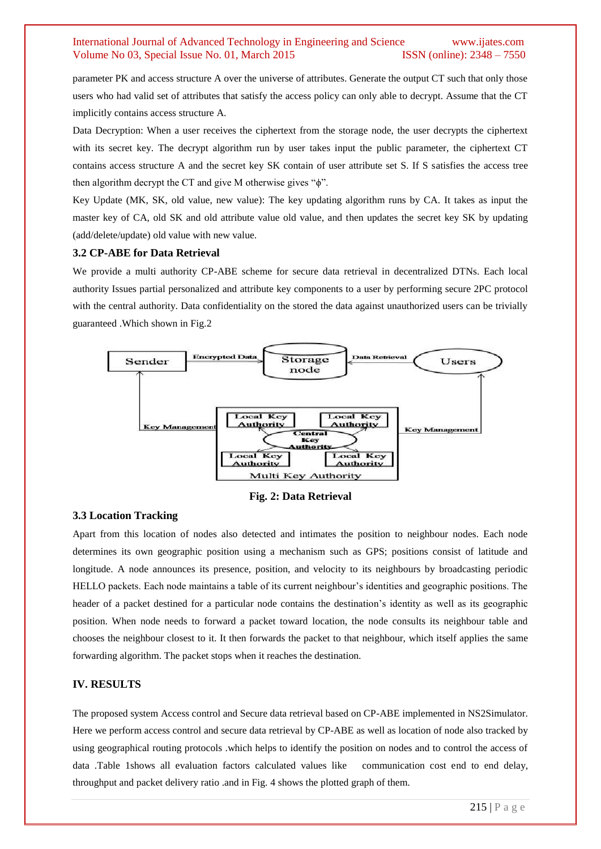parameter PK and access structure A over the universe of attributes. Generate the output CT such that only those users who had valid set of attributes that satisfy the access policy can only able to decrypt. Assume that the CT implicitly contains access structure A.

Data Decryption: When a user receives the ciphertext from the storage node, the user decrypts the ciphertext with its secret key. The decrypt algorithm run by user takes input the public parameter, the ciphertext CT contains access structure A and the secret key SK contain of user attribute set S. If S satisfies the access tree then algorithm decrypt the CT and give M otherwise gives "ϕ".

Key Update (MK, SK, old value, new value): The key updating algorithm runs by CA. It takes as input the master key of CA, old SK and old attribute value old value, and then updates the secret key SK by updating (add/delete/update) old value with new value.

#### **3.2 CP-ABE for Data Retrieval**

We provide a multi authority CP-ABE scheme for secure data retrieval in decentralized DTNs. Each local authority Issues partial personalized and attribute key components to a user by performing secure 2PC protocol with the central authority. Data confidentiality on the stored the data against unauthorized users can be trivially guaranteed .Which shown in Fig.2



**Fig. 2: Data Retrieval**

#### **3.3 Location Tracking**

Apart from this location of nodes also detected and intimates the position to neighbour nodes. Each node determines its own geographic position using a mechanism such as GPS; positions consist of latitude and longitude. A node announces its presence, position, and velocity to its neighbours by broadcasting periodic HELLO packets. Each node maintains a table of its current neighbour's identities and geographic positions. The header of a packet destined for a particular node contains the destination's identity as well as its geographic position. When node needs to forward a packet toward location, the node consults its neighbour table and chooses the neighbour closest to it. It then forwards the packet to that neighbour, which itself applies the same forwarding algorithm. The packet stops when it reaches the destination.

#### **IV. RESULTS**

The proposed system Access control and Secure data retrieval based on CP-ABE implemented in NS2Simulator. Here we perform access control and secure data retrieval by CP-ABE as well as location of node also tracked by using geographical routing protocols .which helps to identify the position on nodes and to control the access of data .Table 1shows all evaluation factors calculated values like communication cost end to end delay, throughput and packet delivery ratio .and in Fig. 4 shows the plotted graph of them.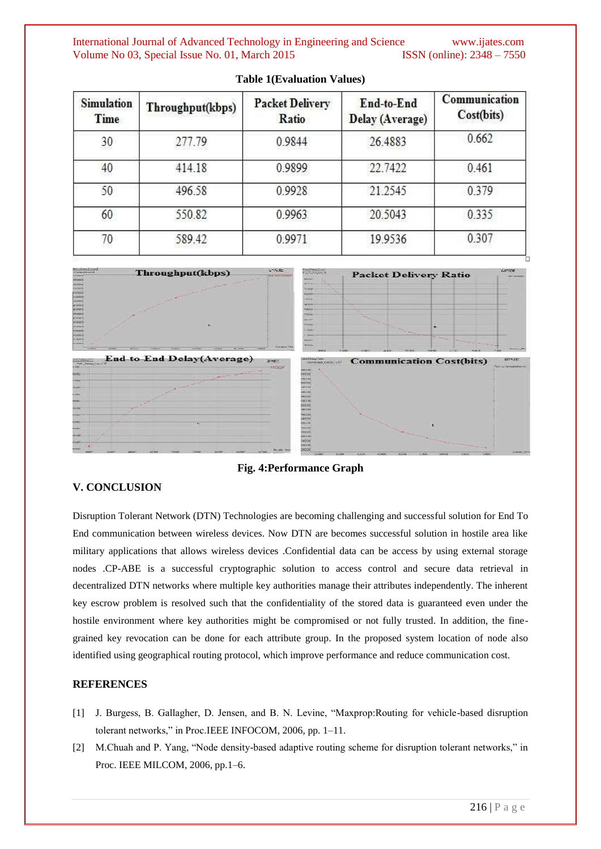| <b>Simulation</b><br>Time | Throughput(kbps) | <b>Packet Delivery</b><br>Ratio | End-to-End<br>Delay (Average) | Communication<br>Cost(bits) |
|---------------------------|------------------|---------------------------------|-------------------------------|-----------------------------|
| 30                        | 277.79           | 0.9844                          | 26.4883                       | 0.662                       |
| 40                        | 414.18           | 0.9899                          | 22.7422                       | 0.461                       |
| 50                        | 496.58           | 0.9928                          | 21.2545                       | 0.379                       |
| 60                        | 550.82           | 0.9963                          | 20.5043                       | 0.335                       |
| 70                        | 589.42           | 0.9971                          | 19.9536                       | 0.307                       |

#### **Table 1(Evaluation Values)**



**Fig. 4:Performance Graph**

# **V. CONCLUSION**

Disruption Tolerant Network (DTN) Technologies are becoming challenging and successful solution for End To End communication between wireless devices. Now DTN are becomes successful solution in hostile area like military applications that allows wireless devices .Confidential data can be access by using external storage nodes .CP-ABE is a successful cryptographic solution to access control and secure data retrieval in decentralized DTN networks where multiple key authorities manage their attributes independently. The inherent key escrow problem is resolved such that the confidentiality of the stored data is guaranteed even under the hostile environment where key authorities might be compromised or not fully trusted. In addition, the finegrained key revocation can be done for each attribute group. In the proposed system location of node also identified using geographical routing protocol, which improve performance and reduce communication cost.

#### **REFERENCES**

- [1] J. Burgess, B. Gallagher, D. Jensen, and B. N. Levine, "Maxprop:Routing for vehicle-based disruption tolerant networks," in Proc.IEEE INFOCOM, 2006, pp. 1–11.
- [2] M.Chuah and P. Yang, "Node density-based adaptive routing scheme for disruption tolerant networks," in Proc. IEEE MILCOM, 2006, pp.1–6.